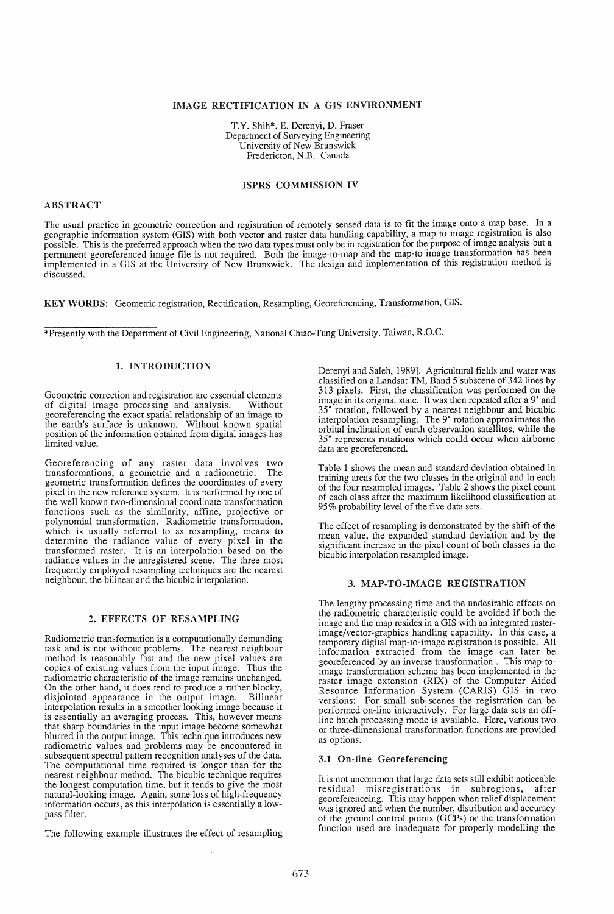# IMAGE RECTIFICATION IN A GIS ENVIRONMENT

T.Y. Shih\*, E. Derenyi, D. Fraser Department of Surveying Engineering University of New Brunswick Fredericton, N.B. Canada

#### ISPRS COMMISSION IV

## ABSTRACT

The usual practice in geometric correction and registration of remotely sensed data is to fit the image onto a map base. In a geographic information system (GIS) with both vector and raster data handling capability, a map to image registration is also geographic information system (GIS) with both vector and raster data handling capability, a map to mage registration is also<br>possible. This is the preferred approach when the two data types must only be in registration for implemented in a GIS at the University of New Brunswick. The design and implementation of this registration method is discussed.

KEY WORDS: Geometric registration, Rectification, Resampling, Georeferencing, Transformation, GIS.

\*Presently with the Department of Civil Engineering, National Chiao-Tung University, Taiwan, R.O.C.

# 1. INTRODUCTION

Geometric correction and registration are essential elements<br>of digital image processing and analysis. Without of digital image processing and analysis. georeferencing the exact spatial relationship of an image to the earth's surface is unknown. Without known spatial position of the information obtained from digital images has limited value.

Georeferencing of any raster data involves two transformations, a geometric and a radiometric. The geometric transformation defines the coordinates of every pixel in the new reference system. It is performed by one of the well known two-dimensional coordinate transformation functions such as the similarity, affine, projective or polynomial transformation. Radiometric transformation, which is usually referred to as resampling, means to determine the radiance value of every pixel in the transformed raster. It is an interpolation based on the radiance values in the unregistered scene. The three most frequently employed resampling techniques are the nearest neighbour, the bilinear and the bicubic interpolation.

#### 2. EFFECTS OF RESAMPLING

Radiometric transformation is a computationally demanding task and is not without problems. The nearest neighbour method is reasonably fast and the new pixel values are copies of existing values from the input image. Thus the radiometric characteristic of the image remains unchanged. On the other hand, it does tend to produce a rather blocky, disjointed appearance in the output image. Bilinear interpolation results in a smoother looking image because it is essentially an averaging process. This, however means that sharp boundaries in the input image become somewhat blurred in the output image. This technique introduces new radiometric values and problems may be encountered in subsequent spectral pattern recognition analyses of the data. The computational time required is longer than for the nearest neighbour method. The bicubic technique requires the longest computation time, but it tends to give the most natural-looking image. Again, some loss of high-frequency information occurs, as this interpolation is essentially a lowpass filter.

The following example illustrates the effect of resampling

Derenyi and Saleh, 1989]. Agricultural fields and water was classified on a Landsat TM, Band 5 subscene of 342 lines by 313 pixels. First, the classification was performed on the image in its original state. It was then repeated after a 9° and 35° rotation, followed by a nearest neighbour and bicubic interpolation resampling. The 9° rotation approximates the orbital inclination of earth observation satellites, while the 35° represents rotations which could occur when airborne data are georeferenced.

Table 1 shows the mean and standard deviation obtained in training areas for the two classes in the original and in each of the four resampled images. Table 2 shows the pixel count of each class after the maximum likelihood classification at 95% probability level of the five data sets.

The effect of resampling is demonstrated by the shift of the mean value, the expanded standard deviation and by the significant increase in the pixel count of both classes in the bicubic interpolation resampled image.

# 3. MAP-TO-IMAGE REGISTRATION

The lengthy processing time and the undesirable effects on the radiometric characteristic could be avoided if both the image and the map resides in a GIS with an integrated rasterimage/vector-graphics handling capability. In this case, a temporary digital map-to-image registration is possible. All information extracted from the image can later be georeferenced by an inverse transformation. This map-toimage transformation scheme has been implemented in the raster image extension (RIX) of the Computer Aided Resource Information System (CARIS) GIS in two versions: For small sub-scenes the registration can be performed on-line interactively. For large data sets an offline batch processing mode is available. Here, various two or three-dimensional transformation functions are provided as options.

## 3.1 On-line Georeferencing

It is not uncommon that large data sets still exhibit noticeable residual misregistrations in subregions, after georeferenceing. This may happen when relief displacement was ignored and when the number, distribution and accuracy of the ground control points (GCPs) or the transformation function used are inadequate for properly modelling the